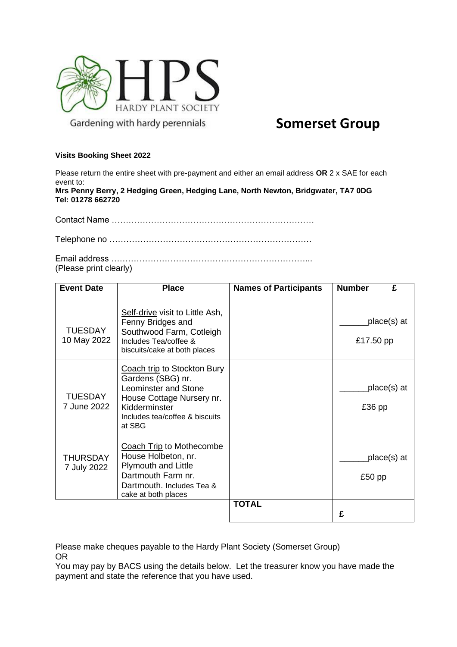

## **Somerset Group**

## **Visits Booking Sheet 2022**

Please return the entire sheet with pre**-**payment and either an email address **OR** 2 x SAE for each event to:

**Mrs Penny Berry, 2 Hedging Green, Hedging Lane, North Newton, Bridgwater, TA7 0DG Tel: 01278 662720**

Contact Name ………………………………………………………………

Telephone no ………………………………………………………………

Email address ……………………………………………………………... (Please print clearly)

| <b>Event Date</b>              | <b>Place</b>                                                                                                                                                       | <b>Names of Participants</b> | <b>Number</b><br>£       |
|--------------------------------|--------------------------------------------------------------------------------------------------------------------------------------------------------------------|------------------------------|--------------------------|
| <b>TUESDAY</b><br>10 May 2022  | Self-drive visit to Little Ash,<br>Fenny Bridges and<br>Southwood Farm, Cotleigh<br>Includes Tea/coffee &<br>biscuits/cake at both places                          |                              | place(s) at<br>£17.50 pp |
| <b>TUESDAY</b><br>7 June 2022  | Coach trip to Stockton Bury<br>Gardens (SBG) nr.<br>Leominster and Stone<br>House Cottage Nursery nr.<br>Kidderminster<br>Includes tea/coffee & biscuits<br>at SBG |                              | place(s) at<br>£36 pp    |
| <b>THURSDAY</b><br>7 July 2022 | Coach Trip to Mothecombe<br>House Holbeton, nr.<br><b>Plymouth and Little</b><br>Dartmouth Farm nr.<br>Dartmouth. Includes Tea &<br>cake at both places            |                              | place(s) at<br>£50 pp    |
|                                |                                                                                                                                                                    | <b>TOTAL</b>                 | £                        |

Please make cheques payable to the Hardy Plant Society (Somerset Group) OR

You may pay by BACS using the details below. Let the treasurer know you have made the payment and state the reference that you have used.